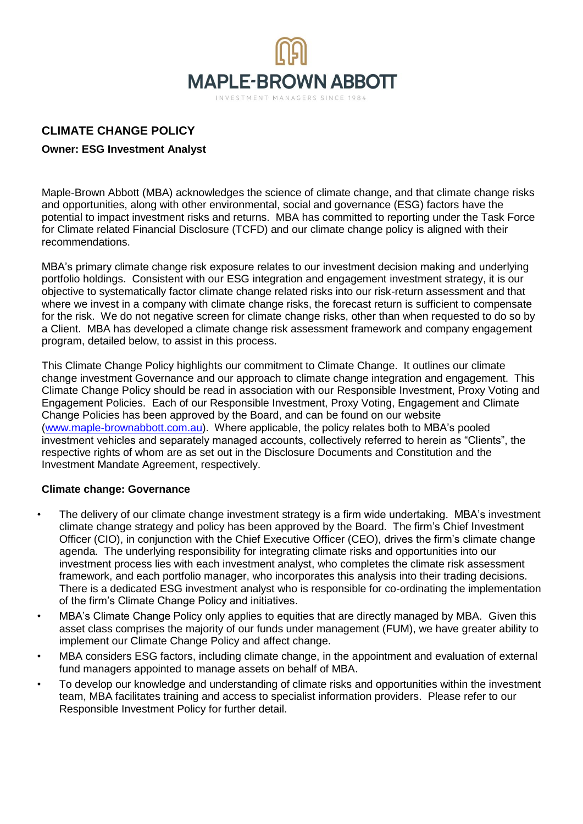

# **CLIMATE CHANGE POLICY**

# **Owner: ESG Investment Analyst**

Maple-Brown Abbott (MBA) acknowledges the science of climate change, and that climate change risks and opportunities, along with other environmental, social and governance (ESG) factors have the potential to impact investment risks and returns. MBA has committed to reporting under the Task Force for Climate related Financial Disclosure (TCFD) and our climate change policy is aligned with their recommendations.

MBA's primary climate change risk exposure relates to our investment decision making and underlying portfolio holdings. Consistent with our ESG integration and engagement investment strategy, it is our objective to systematically factor climate change related risks into our risk-return assessment and that where we invest in a company with climate change risks, the forecast return is sufficient to compensate for the risk. We do not negative screen for climate change risks, other than when requested to do so by a Client. MBA has developed a climate change risk assessment framework and company engagement program, detailed below, to assist in this process.

This Climate Change Policy highlights our commitment to Climate Change. It outlines our climate change investment Governance and our approach to climate change integration and engagement. This Climate Change Policy should be read in association with our Responsible Investment, Proxy Voting and Engagement Policies. Each of our Responsible Investment, Proxy Voting, Engagement and Climate Change Policies has been approved by the Board, and can be found on our website [\(www.maple-brownabbott.com.au\)](http://www.maple-brownabbott.com.au/). Where applicable, the policy relates both to MBA's pooled investment vehicles and separately managed accounts, collectively referred to herein as "Clients", the respective rights of whom are as set out in the Disclosure Documents and Constitution and the Investment Mandate Agreement, respectively.

### **Climate change: Governance**

- The delivery of our climate change investment strategy is a firm wide undertaking. MBA's investment climate change strategy and policy has been approved by the Board. The firm's Chief Investment Officer (CIO), in conjunction with the Chief Executive Officer (CEO), drives the firm's climate change agenda. The underlying responsibility for integrating climate risks and opportunities into our investment process lies with each investment analyst, who completes the climate risk assessment framework, and each portfolio manager, who incorporates this analysis into their trading decisions. There is a dedicated ESG investment analyst who is responsible for co-ordinating the implementation of the firm's Climate Change Policy and initiatives.
- MBA's Climate Change Policy only applies to equities that are directly managed by MBA. Given this asset class comprises the majority of our funds under management (FUM), we have greater ability to implement our Climate Change Policy and affect change.
- MBA considers ESG factors, including climate change, in the appointment and evaluation of external fund managers appointed to manage assets on behalf of MBA.
- To develop our knowledge and understanding of climate risks and opportunities within the investment team, MBA facilitates training and access to specialist information providers. Please refer to our Responsible Investment Policy for further detail.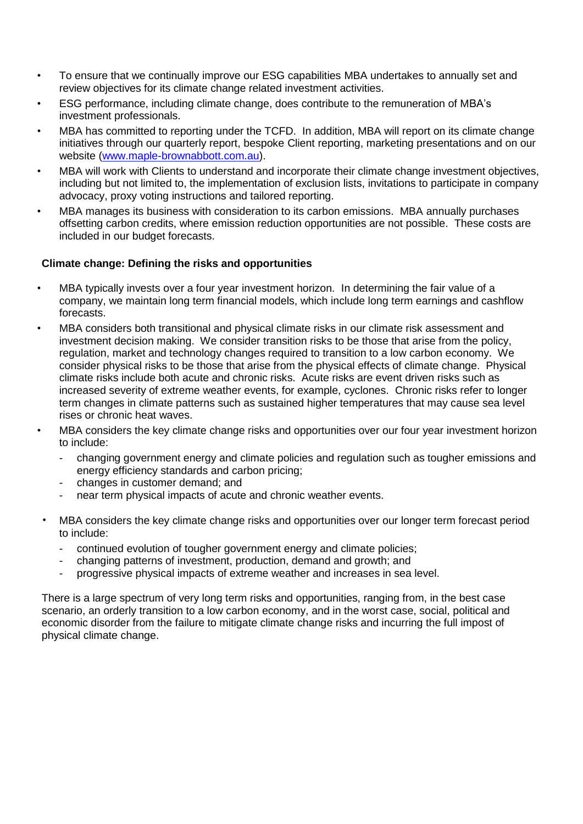- To ensure that we continually improve our ESG capabilities MBA undertakes to annually set and review objectives for its climate change related investment activities.
- ESG performance, including climate change, does contribute to the remuneration of MBA's investment professionals.
- MBA has committed to reporting under the TCFD. In addition, MBA will report on its climate change initiatives through our quarterly report, bespoke Client reporting, marketing presentations and on our website (www.maple-brownabbott.com.au).
- MBA will work with Clients to understand and incorporate their climate change investment objectives, including but not limited to, the implementation of exclusion lists, invitations to participate in company advocacy, proxy voting instructions and tailored reporting.
- MBA manages its business with consideration to its carbon emissions. MBA annually purchases offsetting carbon credits, where emission reduction opportunities are not possible. These costs are included in our budget forecasts.

### **Climate change: Defining the risks and opportunities**

- MBA typically invests over a four year investment horizon. In determining the fair value of a company, we maintain long term financial models, which include long term earnings and cashflow forecasts.
- MBA considers both transitional and physical climate risks in our climate risk assessment and investment decision making. We consider transition risks to be those that arise from the policy, regulation, market and technology changes required to transition to a low carbon economy. We consider physical risks to be those that arise from the physical effects of climate change. Physical climate risks include both acute and chronic risks. Acute risks are event driven risks such as increased severity of extreme weather events, for example, cyclones. Chronic risks refer to longer term changes in climate patterns such as sustained higher temperatures that may cause sea level rises or chronic heat waves.
- MBA considers the key climate change risks and opportunities over our four year investment horizon to include:
	- changing government energy and climate policies and regulation such as tougher emissions and energy efficiency standards and carbon pricing;
	- changes in customer demand; and
	- near term physical impacts of acute and chronic weather events.
- MBA considers the key climate change risks and opportunities over our longer term forecast period to include:
	- continued evolution of tougher government energy and climate policies;
	- changing patterns of investment, production, demand and growth; and
	- progressive physical impacts of extreme weather and increases in sea level.

There is a large spectrum of very long term risks and opportunities, ranging from, in the best case scenario, an orderly transition to a low carbon economy, and in the worst case, social, political and economic disorder from the failure to mitigate climate change risks and incurring the full impost of physical climate change.